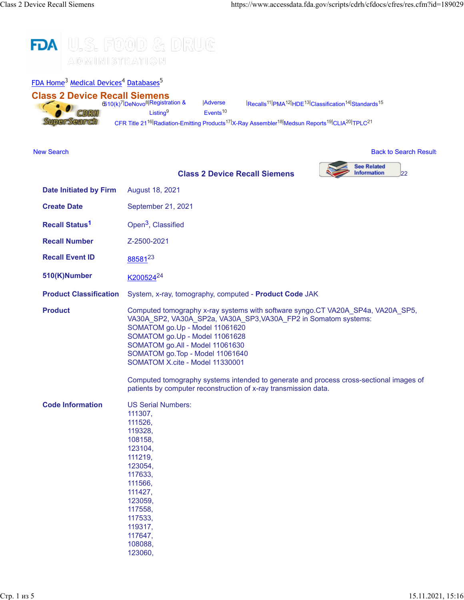

| FDA Home <sup>3</sup> Medical Devices <sup>4</sup> Databases <sup>5</sup> |                                                                                                                                                                                                                                                          |                                        |                                                                                                                                                                                                                                                                                                                 |                                                |
|---------------------------------------------------------------------------|----------------------------------------------------------------------------------------------------------------------------------------------------------------------------------------------------------------------------------------------------------|----------------------------------------|-----------------------------------------------------------------------------------------------------------------------------------------------------------------------------------------------------------------------------------------------------------------------------------------------------------------|------------------------------------------------|
| <b>Class 2 Device Recall Siemens</b><br>CDRH<br><b>SuperSearch</b>        | 6510(k) <sup>7</sup> DeNovo <sup>8</sup> Registration &<br>Listing <sup>9</sup><br>CFR Title 21 <sup>16</sup> Radiation-Emitting Products <sup>17</sup> X-Ray Assembler <sup>18</sup> Medsun Reports <sup>19</sup> CLIA <sup>20</sup> TPLC <sup>21</sup> | <b>Adverse</b><br>Events <sup>10</sup> | Recalls <sup>11</sup> PMA <sup>12</sup> HDE <sup>13</sup> Classification <sup>14</sup> Standards <sup>15</sup>                                                                                                                                                                                                  |                                                |
| <b>New Search</b>                                                         |                                                                                                                                                                                                                                                          |                                        |                                                                                                                                                                                                                                                                                                                 | <b>Back to Search Result</b>                   |
|                                                                           |                                                                                                                                                                                                                                                          |                                        | <b>Class 2 Device Recall Siemens</b>                                                                                                                                                                                                                                                                            | <b>See Related</b><br><b>Information</b><br>22 |
| <b>Date Initiated by Firm</b>                                             | August 18, 2021                                                                                                                                                                                                                                          |                                        |                                                                                                                                                                                                                                                                                                                 |                                                |
| <b>Create Date</b>                                                        | September 21, 2021                                                                                                                                                                                                                                       |                                        |                                                                                                                                                                                                                                                                                                                 |                                                |
| <b>Recall Status<sup>1</sup></b>                                          | Open <sup>3</sup> , Classified                                                                                                                                                                                                                           |                                        |                                                                                                                                                                                                                                                                                                                 |                                                |
| <b>Recall Number</b>                                                      | Z-2500-2021                                                                                                                                                                                                                                              |                                        |                                                                                                                                                                                                                                                                                                                 |                                                |
| <b>Recall Event ID</b>                                                    | 8858123                                                                                                                                                                                                                                                  |                                        |                                                                                                                                                                                                                                                                                                                 |                                                |
| 510(K)Number                                                              | K200524 <sup>24</sup>                                                                                                                                                                                                                                    |                                        |                                                                                                                                                                                                                                                                                                                 |                                                |
| <b>Product Classification</b>                                             |                                                                                                                                                                                                                                                          |                                        | System, x-ray, tomography, computed - Product Code JAK                                                                                                                                                                                                                                                          |                                                |
| <b>Product</b>                                                            | SOMATOM go.Up - Model 11061620<br>SOMATOM go.Up - Model 11061628<br>SOMATOM go.All - Model 11061630<br>SOMATOM go.Top - Model 11061640<br>SOMATOM X.cite - Model 11330001                                                                                |                                        | Computed tomography x-ray systems with software syngo.CT VA20A_SP4a, VA20A_SP5,<br>VA30A_SP2, VA30A_SP2a, VA30A_SP3, VA30A_FP2 in Somatom systems:<br>Computed tomography systems intended to generate and process cross-sectional images of<br>patients by computer reconstruction of x-ray transmission data. |                                                |
| <b>Code Information</b>                                                   | <b>US Serial Numbers:</b><br>111307,<br>111526,<br>119328,<br>108158,<br>123104,<br>111219,<br>123054,<br>117633,<br>111566,<br>111427,<br>123059,<br>117558,<br>117533,<br>119317,<br>117647,<br>108088,                                                |                                        |                                                                                                                                                                                                                                                                                                                 |                                                |

123060,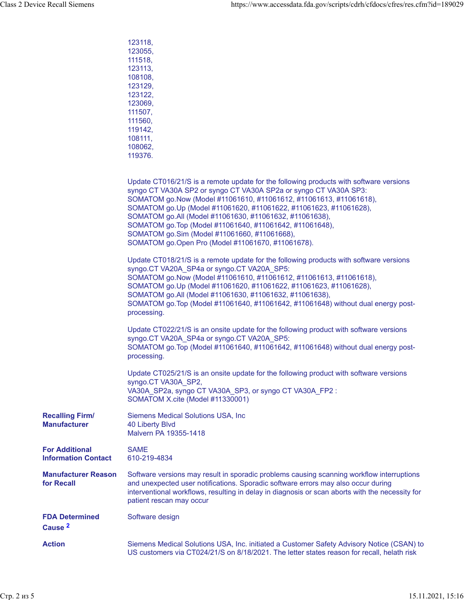|                                                     | 123118,<br>123055,<br>111518,<br>123113,<br>108108,<br>123129.<br>123122,<br>123069,<br>111507,<br>111560,<br>119142,<br>108111,<br>108062,<br>119376.                                                                                                                                                                                                                                                                                                                                                                            |  |
|-----------------------------------------------------|-----------------------------------------------------------------------------------------------------------------------------------------------------------------------------------------------------------------------------------------------------------------------------------------------------------------------------------------------------------------------------------------------------------------------------------------------------------------------------------------------------------------------------------|--|
|                                                     | Update CT016/21/S is a remote update for the following products with software versions<br>syngo CT VA30A SP2 or syngo CT VA30A SP2a or syngo CT VA30A SP3:<br>SOMATOM go.Now (Model #11061610, #11061612, #11061613, #11061618),<br>SOMATOM go.Up (Model #11061620, #11061622, #11061623, #11061628),<br>SOMATOM go.All (Model #11061630, #11061632, #11061638),<br>SOMATOM go. Top (Model #11061640, #11061642, #11061648),<br>SOMATOM go.Sim (Model #11061660, #11061668),<br>SOMATOM go.Open Pro (Model #11061670, #11061678). |  |
|                                                     | Update CT018/21/S is a remote update for the following products with software versions<br>syngo.CT VA20A SP4a or syngo.CT VA20A SP5:<br>SOMATOM go.Now (Model #11061610, #11061612, #11061613, #11061618),<br>SOMATOM go.Up (Model #11061620, #11061622, #11061623, #11061628),<br>SOMATOM go.All (Model #11061630, #11061632, #11061638),<br>SOMATOM go.Top (Model #11061640, #11061642, #11061648) without dual energy post-<br>processing.                                                                                     |  |
|                                                     | Update CT022/21/S is an onsite update for the following product with software versions<br>syngo.CT VA20A_SP4a or syngo.CT VA20A_SP5:<br>SOMATOM go. Top (Model #11061640, #11061642, #11061648) without dual energy post-<br>processing.                                                                                                                                                                                                                                                                                          |  |
|                                                     | Update CT025/21/S is an onsite update for the following product with software versions<br>syngo.CT VA30A_SP2,<br>VA30A_SP2a, syngo CT VA30A_SP3, or syngo CT VA30A_FP2 :<br>SOMATOM X.cite (Model #11330001)                                                                                                                                                                                                                                                                                                                      |  |
| <b>Recalling Firm/</b><br><b>Manufacturer</b>       | <b>Siemens Medical Solutions USA, Inc.</b><br><b>40 Liberty Blvd</b><br>Malvern PA 19355-1418                                                                                                                                                                                                                                                                                                                                                                                                                                     |  |
| <b>For Additional</b><br><b>Information Contact</b> | <b>SAME</b><br>610-219-4834                                                                                                                                                                                                                                                                                                                                                                                                                                                                                                       |  |
| <b>Manufacturer Reason</b><br>for Recall            | Software versions may result in sporadic problems causing scanning workflow interruptions<br>and unexpected user notifications. Sporadic software errors may also occur during<br>interventional workflows, resulting in delay in diagnosis or scan aborts with the necessity for<br>patient rescan may occur                                                                                                                                                                                                                     |  |
| <b>FDA Determined</b><br>Cause <sup>2</sup>         | Software design                                                                                                                                                                                                                                                                                                                                                                                                                                                                                                                   |  |
| <b>Action</b>                                       | Siemens Medical Solutions USA, Inc. initiated a Customer Safety Advisory Notice (CSAN) to<br>US customers via CT024/21/S on 8/18/2021. The letter states reason for recall, helath risk                                                                                                                                                                                                                                                                                                                                           |  |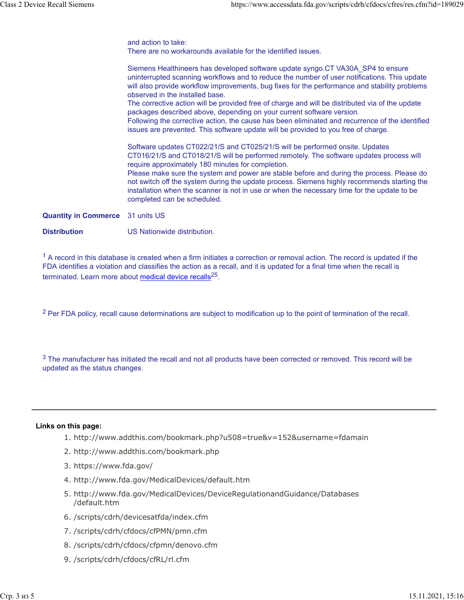and action to take: There are no workarounds available for the identified issues. Siemens Healthineers has developed software update syngo.CT VA30A\_SP4 to ensure

uninterrupted scanning workflows and to reduce the number of user notifications. This update will also provide workflow improvements, bug fixes for the performance and stability problems observed in the installed base. The corrective action will be provided free of charge and will be distributed via of the update packages described above, depending on your current software version. Following the corrective action, the cause has been eliminated and recurrence of the identified issues are prevented. This software update will be provided to you free of charge.

Software updates CT022/21/S and CT025/21/S will be performed onsite. Updates CT016/21/S and CT018/21/S will be performed remotely. The software updates process will require approximately 180 minutes for completion.

Please make sure the system and power are stable before and during the process. Please do not switch off the system during the update process. Siemens highly recommends starting the installation when the scanner is not in use or when the necessary time for the update to be completed can be scheduled.

**Quantity in Commerce** 31 units US

**Distribution** US Nationwide distribution.

 $<sup>1</sup>$  A record in this database is created when a firm initiates a correction or removal action. The record is updated if the</sup> FDA identifies a violation and classifies the action as a recall, and it is updated for a final time when the recall is terminated. Learn more about [medical device recalls](http://www.fda.gov/MedicalDevices/Safety/ListofRecalls/ucm329946.htm)<sup>25</sup>.

<sup>2</sup> Per FDA policy, recall cause determinations are subject to modification up to the point of termination of the recall.

 $3$  The manufacturer has initiated the recall and not all products have been corrected or removed. This record will be updated as the status changes.

## **Links on this page:**

- 1. http://www.addthis.com/bookmark.php?u508=true&v=152&username=fdamain
- 2. http://www.addthis.com/bookmark.php
- 3. https://www.fda.gov/
- 4. http://www.fda.gov/MedicalDevices/default.htm
- 5. http://www.fda.gov/MedicalDevices/DeviceRegulationandGuidance/Databases /default.htm
- 6. /scripts/cdrh/devicesatfda/index.cfm
- 7. /scripts/cdrh/cfdocs/cfPMN/pmn.cfm
- 8. /scripts/cdrh/cfdocs/cfpmn/denovo.cfm
- 9. /scripts/cdrh/cfdocs/cfRL/rl.cfm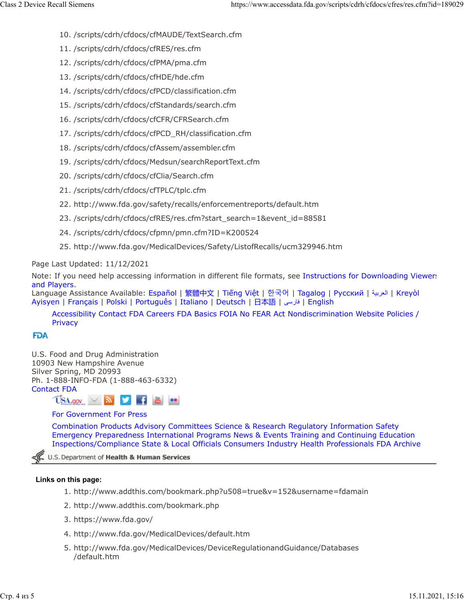- 10. /scripts/cdrh/cfdocs/cfMAUDE/TextSearch.cfm
- 11. /scripts/cdrh/cfdocs/cfRES/res.cfm
- 12. /scripts/cdrh/cfdocs/cfPMA/pma.cfm
- 13. /scripts/cdrh/cfdocs/cfHDE/hde.cfm
- 14. /scripts/cdrh/cfdocs/cfPCD/classification.cfm
- 15. /scripts/cdrh/cfdocs/cfStandards/search.cfm
- 16. /scripts/cdrh/cfdocs/cfCFR/CFRSearch.cfm
- 17. /scripts/cdrh/cfdocs/cfPCD\_RH/classification.cfm
- 18. /scripts/cdrh/cfdocs/cfAssem/assembler.cfm
- 19. /scripts/cdrh/cfdocs/Medsun/searchReportText.cfm
- 20. /scripts/cdrh/cfdocs/cfClia/Search.cfm
- 21. /scripts/cdrh/cfdocs/cfTPLC/tplc.cfm
- 22. http://www.fda.gov/safety/recalls/enforcementreports/default.htm
- 23. /scripts/cdrh/cfdocs/cfRES/res.cfm?start\_search=1&event\_id=88581
- 24. /scripts/cdrh/cfdocs/cfpmn/pmn.cfm?ID=K200524
- 25. http://www.fda.gov/MedicalDevices/Safety/ListofRecalls/ucm329946.htm

Page Last Updated: 11/12/2021

Note: If you need help accessing information in different file formats, see [Instructions for Downloading Viewers](https://www.fda.gov/about-fda/website-policies/viewing-files) [and Players.](https://www.fda.gov/about-fda/website-policies/viewing-files)

Language Assistance Available: [Español](https://www.fda.gov/about-fda/about-website/language-assistance-services#spanish) | [繁體中文](https://www.fda.gov/about-fda/about-website/language-assistance-services#chinese) | Tiế[ng Vi](https://www.fda.gov/about-fda/about-website/language-assistance-services#vietnamese)ệt | [한국어](https://www.fda.gov/about-fda/about-website/language-assistance-services#korean) | [Tagalog](https://www.fda.gov/about-fda/about-website/language-assistance-services#tagalog) | [Русский](https://www.fda.gov/about-fda/about-website/language-assistance-services#russian) | [ةيبرعلا](hhttps://www.fda.gov/about-fda/about-website/language-assistance-services#arabic)| [Kreyòl](https://www.fda.gov/about-fda/about-website/language-assistance-services#creole) [Ayisyen](https://www.fda.gov/about-fda/about-website/language-assistance-services#creole) | [Français](https://www.fda.gov/about-fda/about-website/language-assistance-services#french) | [Polski](https://www.fda.gov/about-fda/about-website/language-assistance-services#polish) | [Português](https://www.fda.gov/about-fda/about-website/language-assistance-services#portuguese) | [Italiano](https://www.fda.gov/about-fda/about-website/language-assistance-services#italian) | [Deutsch](https://www.fda.gov/about-fda/about-website/language-assistance-services#german) | [日本語](https://www.fda.gov/about-fda/about-website/language-assistance-services#japanese) | [یسراف](https://www.fda.gov/about-fda/about-website/language-assistance-services#farsi)| [English](https://www.fda.gov/about-fda/about-website/language-assistance-services#english)

[Accessibility](https://www.fda.gov/about-fda/about-website/accessibility) [Contact FDA](https://www.fda.gov/about-fda/contact-fda) [Careers](https://www.fda.gov/about-fda/jobs-and-training-fda) [FDA Basics](https://www.fda.gov/about-fda/transparency/fda-basics) [FOIA](https://www.fda.gov/regulatory-information/freedom-information) [No FEAR Act](https://www.fda.gov/about-fda/jobs-and-training-fda/no-fear-act) [Nondiscrimination](https://www.fda.gov/about-fda/about-website/fda-nondiscrimination-notice) [Website Policies /](https://www.fda.gov/about-fda/about-website/website-policies) **[Privacy](https://www.fda.gov/about-fda/about-website/website-policies)** 

## **FDA**

U.S. Food and Drug Administration 10903 New Hampshire Avenue Silver Spring, MD 20993 Ph. 1-888-INFO-FDA (1-888-463-6332) [Contact FDA](https://www.fda.gov/about-fda/contact-fda)

 $USA.gov \times N$ 

## [For Government](https://www.fda.gov/federal-state-local-tribal-and-territorial-officials) [For Press](https://www.fda.gov/news-events)

[Combination Products](https://www.fda.gov/combination-products) [Advisory Committees](https://www.fda.gov/advisory-committees) [Science & Research](https://www.fda.gov/Science-Research) [Regulatory Information](https://www.fda.gov/Regulatory-Information) [Safety](https://www.fda.gov/Safety) [Emergency Preparedness](https://www.fda.gov/emergency-preparedness-and-response) [International Programs](https://www.fda.gov/international-programs) [News & Events](https://www.fda.gov/news-events) [Training and Continuing Education](https://www.fda.gov/training-and-continuing-education) [Inspections/Compliance](https://www.fda.gov/inspections-compliance-enforcement-and-criminal-investigations) [State & Local Officials](https://www.fda.gov/federal-state-local-tribal-and-territorial-officials) [Consumers](https://www.fda.gov/consumers) [Industry](https://www.fda.gov/industry) [Health Professionals](https://www.fda.gov/health-professionals) [FDA Archive](https://www.fda.gov/about-fda/about-website/fdagov-archive)

U.S. Department of Health & Human Services

## **Links on this page:**

- 1. http://www.addthis.com/bookmark.php?u508=true&v=152&username=fdamain
- 2. http://www.addthis.com/bookmark.php
- 3. https://www.fda.gov/
- 4. http://www.fda.gov/MedicalDevices/default.htm
- 5. http://www.fda.gov/MedicalDevices/DeviceRegulationandGuidance/Databases /default.htm